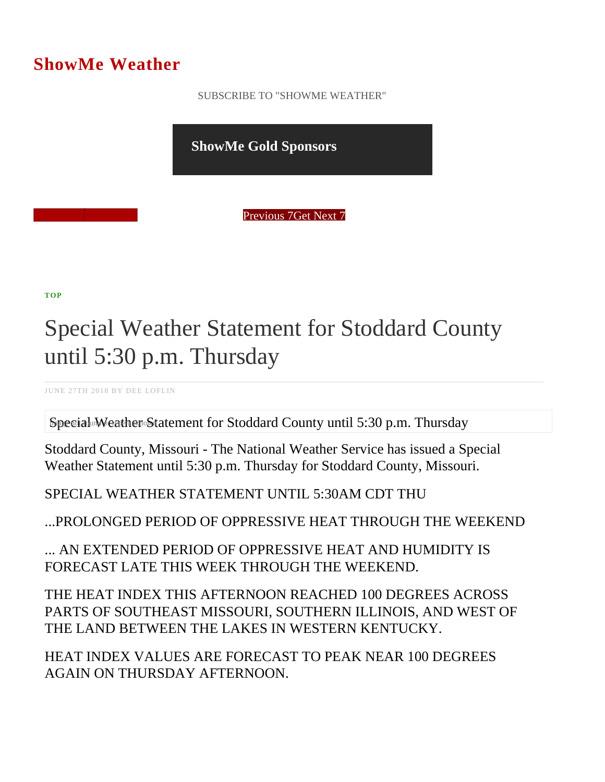## ShowMe Weather

 [SUBSCRIBE TO "SHOWME WEATHER"](/blog_rss.php)

ShowMe Gold Sponsors

Previous Get Next 7

[TOP](/var/www/showmetimes.com/root/javascript:blogScrollToTop()

## Special Weather Statement for Stoddard County until 5:30 p.m. Thursday

JUNE 27TH 2018 BY DEE LOFLIN

Special Weather Statement for Stoddard County until 5:30 p.m. Thursday

Stoddard County, Missouri - The National Weather Service has issued a Special Weather Statement until 5:30 p.m. Thursday for Stoddard County, Missouri.

SPECIAL WEATHER STATEMENT UNTIL 5:30AM CDT THU

...PROLONGED PERIOD OF OPPRESSIVE HEAT THROUGH THE WEEKEND

... AN EXTENDED PERIOD OF OPPRESSIVE HEAT AND HUMIDITY IS FORECAST LATE THIS WEEK THROUGH THE WEEKEND.

THE HEAT INDEX THIS AFTERNOON REACHED 100 DEGREES ACROSS PARTS OF SOUTHEAST MISSOURI, SOUTHERN ILLINOIS, AND WEST OF THE LAND BETWEEN THE LAKES IN WESTERN KENTUCKY.

HEAT INDEX VALUES ARE FORECAST TO PEAK NEAR 100 DEGREES AGAIN ON THURSDAY AFTERNOON.